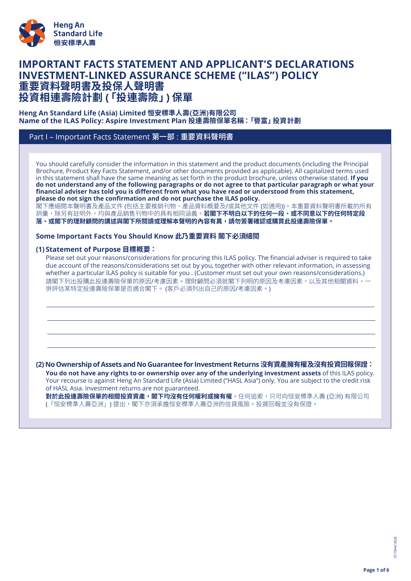

# **IMPORTANT FACTS STATEMENT AND APPLICANT'S DECLARATIONS INVESTMENT-LINKED ASSURANCE SCHEME ("ILAS") POLICY 重要資料聲明書及投保人聲明書 投資相連壽險計劃 (「投連壽險」) 保單**

#### **Heng An Standard Life (Asia) Limited 恒安標準人壽(亞洲)有限公司 Name of the ILAS Policy: Aspire Investment Plan 投連壽險保單名稱:「譽富」投資計劃**

## Part I – Important Facts Statement 第一部 : 重要資料聲明書

You should carefully consider the information in this statement and the product documents (including the Principal Brochure, Product Key Facts Statement, and/or other documents provided as applicable). All capitalized terms used in this statement shall have the same meaning as set forth in the product brochure, unless otherwise stated. **If you** do not understand any of the following paragraphs or do not agree to that particular paragraph or what your financial adviser has told you is different from what you have read or understood from this statement, **please do not sign the confirmation and do not purchase the ILAS policy.**

閣下應細閱本聲明書及產品文件 (包括主要推銷刊物、產品資料概要及/或其他文件 (如適用))。本重要資料聲明書所載的所有 詞彙,除另有註明外,均與產品銷售刊物中的具有相同涵義。**若閣下不明白以下的任何一段、或不同意以下的任何特定段** 落、或閣下的理財顧問的講述與閣下所閱讀或理解本聲明的內容有異,請勿簽署確認或購買此投連壽險保單。

#### **Some Important Facts You Should Know 此乃重要資料 閣下必須細閱**

#### **(1) Statement of Purpose 目標概要:**

Please set out your reasons/considerations for procuring this ILAS policy. The financial adviser is required to take due account of the reasons/considerations set out by you, together with other relevant information, in assessing whether a particular ILAS policy is suitable for you . (Customer must set out your own reasons/considerations.) 請閣下列出投購此投連壽險保單的原因/考慮因素。理財顧問必須就閣下列明的原因及考慮因素,以及其他相關資料,一 併評估某特定投連壽險保單是否適合閣下。 (客戶必須列出自己的原因/考慮因素。)

**(2) NoOwnershipofAssets and No Guarantee for InvestmentReturns沒有資產擁有權及沒有投資回報保證: You do not have any rights to or ownership over any of the underlying investment assets** of this ILAS policy. Your recourse is against Heng An Standard Life (Asia) Limited ("HASL Asia") only. You are subject to the credit risk of HASL Asia. Investment returns are not guaranteed.

**對於此投連壽險保單的相關投資資產,閣下均沒有任何權利或擁有權**。任何追索,只可向恒安標準人壽 (亞洲) 有限公司 (「恒安標準人壽亞洲」) 提出,閣下亦須承擔恒安標準人壽亞洲的信貸風險。投資回報並沒有保證。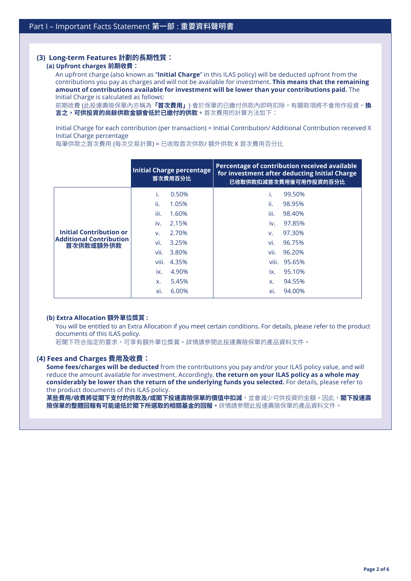## **(3) Long-term Features 計劃的長期性質:**

#### **(a) Upfront charges 前期收費:**

An upfront charge (also known as "**Initial Charge**" in this ILAS policy) will be deducted upfront from the contributions you pay as charges and will not be available for investment. **This means that the remaining amount of contributions available for investment will be lower than your contributions paid.** The Initial Charge is calculated as follows:

前期收費 (此投連壽險保單內亦稱為**「首次費用」**) 會於保單的已繳付供款內即時扣除,有關款項將不會用作投資。**換 言之,可供投資的尚餘供款金額會低於已繳付的供款**。首次費用的計算方法如下:

Initial Charge for each contribution (per transaction) = Initial Contribution/ Additional Contribution received X Initial Charge percentage

每筆供款之首次費用 (每次交易計算) = 已收取首次供款/ 額外供款 X 首次費用百分比

|                                                                               | <b>Initial Charge percentage</b><br>首次費用百分比                    | Percentage of contribution received available<br>for investment after deducting Initial Charge<br>已收取供款扣減首次費用後可用作投資的百分比 |
|-------------------------------------------------------------------------------|----------------------------------------------------------------|-------------------------------------------------------------------------------------------------------------------------|
| <b>Initial Contribution or</b><br><b>Additional Contribution</b><br>首次供款或額外供款 | 0.50%<br>ii.<br>1.05%<br>iii.<br>1.60%                         | 99.50%<br>ii.<br>98.95%<br>iii.<br>98.40%                                                                               |
|                                                                               | 2.15%<br>iv.<br>2.70%<br>V.<br>vi.<br>3.25%                    | 97.85%<br>iv.<br>97.30%<br>V.<br>vi.<br>96.75%                                                                          |
|                                                                               | vii.<br>3.80%<br>viii.<br>4.35%<br>4.90%<br>ix.<br>5.45%<br>X. | vii.<br>96.20%<br>viii.<br>95.65%<br>95.10%<br>ix.<br>94.55%<br>X.                                                      |
|                                                                               | xi.<br>6.00%                                                   | 94.00%<br>xi.                                                                                                           |

#### **(b) Extra Allocation 額外單位獎賞 :**

You will be entitled to an Extra Allocation if you meet certain conditions. For details, please refer to the product documents of this ILAS policy.

若閣下符合指定的要求,可享有額外單位獎賞。詳情請參閱此投連壽險保單的產品資料文件。

#### **(4) Fees and Charges 費用及收費:**

**Some fees/charges will be deducted** from the contributions you pay and/or your ILAS policy value, and will reduce the amount available for investment. Accordingly, **the return on your ILAS policy as a whole may considerably be lower than the return of the underlying funds you selected.** For details, please refer to the product documents of this ILAS policy.

**某些費用/收費將從閣下支付的供款及/或閣下投連壽險保單的價值中扣減**,並會減少可供投資的金額。因此,**閣下投連壽 險保單的整體回報有可能遠低於閣下所選取的相關基金的回報。**詳情請參閱此投連壽險保單的產品資料文件。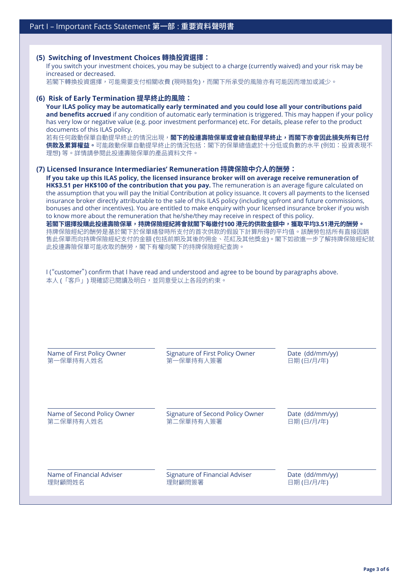# **(5) Switching of Investment Choices 轉換投資選擇:** If you switch your investment choices, you may be subject to a charge (currently waived) and your risk may be increased or decreased. 若閣下轉換投資選擇,可能需要支付相關收費 (現時豁免),而閣下所承受的風險亦有可能因而增加或減少。 **(6) Risk of Early Termination 提早終止的風險: Your ILAS policy may be automatically early terminated and you could lose all your contributions paid and benefits accrued** if any condition of automatic early termination is triggered. This may happen if your policy has very low or negative value (e.g. poor investment performance) etc. For details, please refer to the product documents of this ILAS policy. 若有任何啟動保單自動提早終止的情況出現,**閣下的投連壽險保單或會被自動提早終止,而閣下亦會因此損失所有已付 供款及累算權益。**可能啟動保單自動提早終止的情況包括:閣下的保單總值處於十分低或負數的水平 (例如:投資表現不 理想) 等。詳情請參閱此投連壽險保單的產品資料文件。 **(7) Licensed Insurance Intermediaries' Remuneration 持牌保險中介人的酬勞: If you take up this ILAS policy, the licensed insurance broker will on average receive remuneration of HK\$3.51 per HK\$100 of the contribution that you pay.** The remuneration is an average figure calculated on the assumption that you will pay the Initial Contribution at policy issuance. It covers all payments to the licensed insurance broker directly attributable to the sale of this ILAS policy (including upfront and future commissions, bonuses and other incentives). You are entitled to make enquiry with your licensed insurance broker if you wish to know more about the remuneration that he/she/they may receive in respect of this policy. **若閣下選擇投購此投連壽險保單,持牌保險經紀將會就閣下每繳付100 港元的供款金額中,獲取平均3.51港元的酬勞。** 持牌保險經紀的酬勞是基於閣下於保單繕發時所支付的首次供款的假設下計算所得的平均值。該酬勞包括所有直接因銷 售此保單而向持牌保險經紀支付的金額 (包括前期及其後的佣金、花紅及其他獎金)。閣下如欲進一步了解持牌保險經紀就 此投連壽險保單可能收取的酬勞,閣下有權向閣下的持牌保險經紀查詢。 I ("customer") confirm that I have read and understood and agree to be bound by paragraphs above. 本人 (「客戶」) 現確認已閱讀及明白,並同意受以上各段的約束。

| Name of First Policy Owner  | <b>Signature of First Policy Owner</b> | Date (dd/mm/yy) |
|-----------------------------|----------------------------------------|-----------------|
| 第一保單持有人姓名                   | 第一保單持有人簽署                              | 日期(日/月/年)       |
| Name of Second Policy Owner | Signature of Second Policy Owner       | Date (dd/mm/yy) |
| 第二保單持有人姓名                   | 第二保單持有人簽署                              | 日期(日/月/年)       |
| Name of Financial Adviser   | Signature of Financial Adviser         | Date (dd/mm/yy) |
| 理財顧問姓名                      | 理財顧問簽署                                 | 日期(日/月/年)       |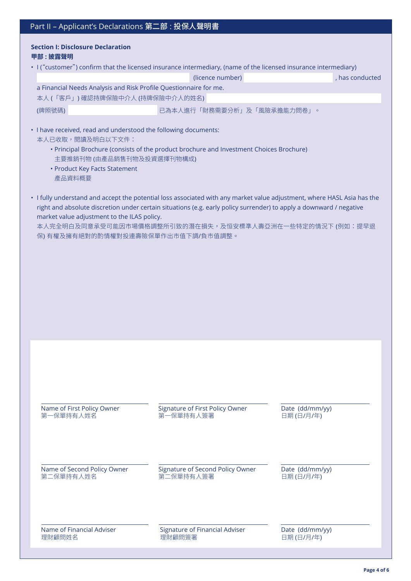## **Section I: Disclosure Declaration 甲部 : 披露聲明**

|                                                                   | (licence number)           | , has conducted |  |  |  |
|-------------------------------------------------------------------|----------------------------|-----------------|--|--|--|
| a Financial Needs Analysis and Risk Profile Questionnaire for me. |                            |                 |  |  |  |
| 本人 (「客戶」) 確認持牌保險中介人 (持牌保險中介人的姓名)                                  |                            |                 |  |  |  |
| (牌照號碼)                                                            | 已為本人進行「財務需要分析」及「風險承擔能力問卷」。 |                 |  |  |  |

• I have received, read and understood the following documents: 本人已收取,閱讀及明白以下文件:

- Principal Brochure (consists of the product brochure and Investment Choices Brochure) 主要推銷刊物 (由產品銷售刊物及投資選擇刊物構成)
- Product Key Facts Statement 產品資料概要
- I fully understand and accept the potential loss associated with any market value adjustment, where HASL Asia has the right and absolute discretion under certain situations (e.g. early policy surrender) to apply a downward / negative market value adjustment to the ILAS policy.

本人完全明白及同意承受可能因市場價格調整所引致的潛在損失,及恒安標準人壽亞洲在一些特定的情況下 (例如:提早退 保) 有權及擁有絕對的酌情權對投連壽險保單作出市值下調/負市值調整。

| Name of First Policy Owner  | Signature of First Policy Owner       | Date (dd/mm/yy) |
|-----------------------------|---------------------------------------|-----------------|
| 第一保單持有人姓名                   | 第一保單持有人簽署                             | 日期(日/月/年)       |
| Name of Second Policy Owner | Signature of Second Policy Owner      | Date (dd/mm/yy) |
| 第二保單持有人姓名                   | 第二保單持有人簽署                             | 日期(日/月/年)       |
| Name of Financial Adviser   | <b>Signature of Financial Adviser</b> | Date (dd/mm/yy) |
| 理財顧問姓名                      | 理財顧問簽署                                | 日期(日/月/年)       |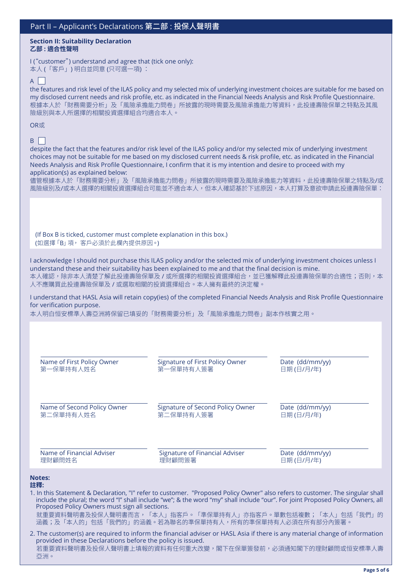#### **Section II: Suitability Declaration 乙部 : 適合性聲明**

I ("customer") understand and agree that (tick one only): 本人 (「客戶」) 明白並同意 (只可選一項) :

## $A \Box$

the features and risk level of the ILAS policy and my selected mix of underlying investment choices are suitable for me based on my disclosed current needs and risk profile, etc. as indicated in the Financial Needs Analysis and Risk Profile Questionnaire. 根據本人於「財務需要分析」及「風險承擔能力問卷」所披露的現時需要及風險承擔能力等資料,此投連壽險保單之特點及其風 險級別與本人所選擇的相關投資選擇組合均適合本人。

#### OR或

### $B \mid$

despite the fact that the features and/or risk level of the ILAS policy and/or my selected mix of underlying investment choices may not be suitable for me based on my disclosed current needs & risk profile, etc. as indicated in the Financial Needs Analysis and Risk Profile Questionnaire, I confirm that it is my intention and desire to proceed with my application(s) as explained below:

儘管根據本人於「財務需要分析」及「風險承擔能力問卷」所披露的現時需要及風險承擔能力等資料,此投連壽險保單之特點及/或 風險級別及/或本人選擇的相關投資選擇組合可能並不適合本人,但本人確認基於下述原因,本人打算及意欲申請此投連壽險保單:

(If Box B is ticked, customer must complete explanation in this box.) (如選擇「B」項, 客戶必須於此欄內提供原因。)

I acknowledge I should not purchase this ILAS policy and/or the selected mix of underlying investment choices unless I understand these and their suitability has been explained to me and that the final decision is mine. 本人確認,除非本人清楚了解此投連壽險保單及 / 或所選擇的相關投資選擇組合,並已獲解釋此投連壽險保單的合適性;否則,本 人不應購買此投連壽險保單及 / 或選取相關的投資選擇組合。本人擁有最終的決定權。

I understand that HASL Asia will retain copy(ies) of the completed Financial Needs Analysis and Risk Profile Questionnaire for verification purpose.

本人明白恒安標準人壽亞洲將保留已填妥的「財務需要分析」及「風險承擔能力問卷」副本作核實之用。

| Name of First Policy Owner                                                                                                                                                                                                                                                                                                                                                                                                                                       | Signature of First Policy Owner  | Date (dd/mm/yy) |  |  |
|------------------------------------------------------------------------------------------------------------------------------------------------------------------------------------------------------------------------------------------------------------------------------------------------------------------------------------------------------------------------------------------------------------------------------------------------------------------|----------------------------------|-----------------|--|--|
| 第一保單持有人姓名                                                                                                                                                                                                                                                                                                                                                                                                                                                        | 第一保單持有人簽署                        | 日期(日/月/年)       |  |  |
| Name of Second Policy Owner                                                                                                                                                                                                                                                                                                                                                                                                                                      | Signature of Second Policy Owner | Date (dd/mm/yy) |  |  |
| 第二保單持有人姓名                                                                                                                                                                                                                                                                                                                                                                                                                                                        | 第二保單持有人簽署                        | 日期(日/月/年)       |  |  |
| Name of Financial Adviser                                                                                                                                                                                                                                                                                                                                                                                                                                        | Signature of Financial Adviser   | Date (dd/mm/yy) |  |  |
| 理財顧問姓名                                                                                                                                                                                                                                                                                                                                                                                                                                                           | 理財顧問簽署                           | 日期(日/月/年)       |  |  |
| <b>Notes:</b><br>註釋:<br>1. In this Statement & Declaration, "I" refer to customer. "Proposed Policy Owner" also refers to customer. The singular shall<br>include the plural; the word "I" shall include "we"; & the word "my" shall include "our". For joint Proposed Policy Owners, all<br>Proposed Policy Owners must sign all sections.<br>就重要資料聲明書及投保人聲明書而言,「本人」指客戶。「準保單持有人」亦指客戶。單數包括複數;「本人」包括「我們」的<br>涵義;及「本人的」包括「我們的」的涵義。若為聯名的準保單持有人,所有的準保單持有人必須在所有部分內簽署。 |                                  |                 |  |  |

2. The customer(s) are required to inform the financial adviser or HASL Asia if there is any material change of information provided in these Declarations before the policy is issued. 若重要資料聲明書及投保人聲明書上填報的資料有任何重大改變,閣下在保單簽發前,必須通知閣下的理財顧問或恒安標準人壽 亞洲。